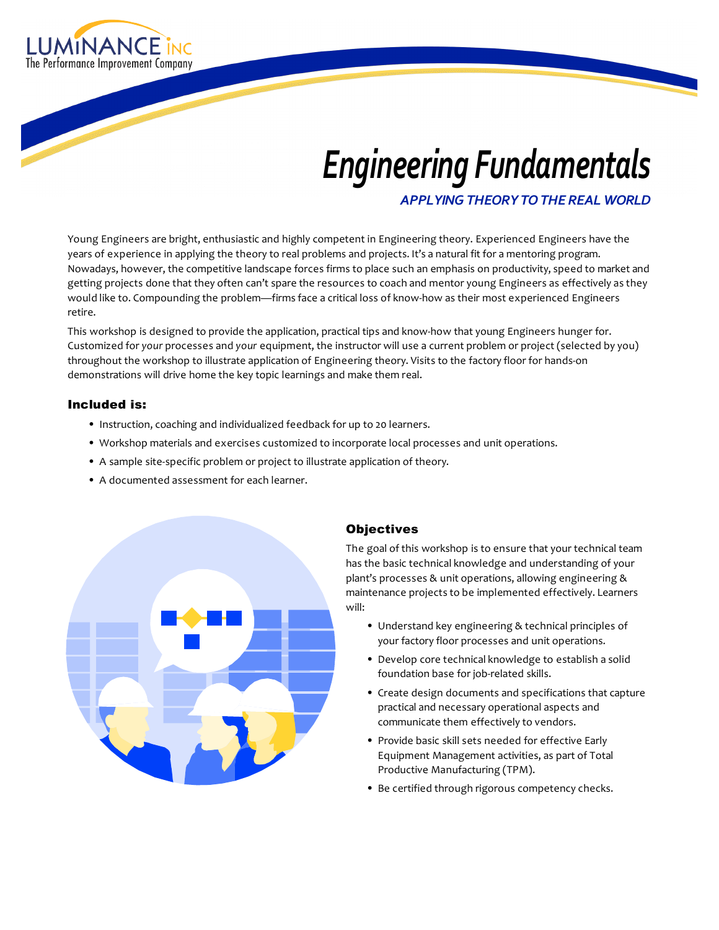

# *Engineering'Fundamentals*

*APPLYING'THEORY'TO'THE'REAL'WORLD*

Young Engineers are bright, enthusiastic and highly competent in Engineering theory. Experienced Engineers have the years of experience in applying the theory to real problems and projects. It's a natural fit for a mentoring program. Nowadays, however, the competitive landscape forces firms to place such an emphasis on productivity, speed to market and getting projects done that they often can't spare the resources to coach and mentor young Engineers as effectively as they would like to. Compounding the problem—firms face a critical loss of know-how as their most experienced Engineers retire.

This workshop is designed to provide the application, practical tips and know-how that young Engineers hunger for. Customized for *your* processes and *your* equipment, the instructor will use a current problem or project (selected by you) throughout the workshop to illustrate application of Engineering theory. Visits to the factory floor for hands-on demonstrations will drive home the key topic learnings and make them real.

#### Included is:

- Instruction, coaching and individualized feedback for up to 20 learners.
- Workshop materials and exercises customized to incorporate local processes and unit operations.
- A sample site-specific problem or project to illustrate application of theory.
- A documented assessment for each learner.



#### **Objectives**

The goal of this workshop is to ensure that your technical team has the basic technical knowledge and understanding of your plant's processes & unit operations, allowing engineering & maintenance projects to be implemented effectively. Learners will:

- Understand key engineering & technical principles of your factory floor processes and unit operations.
- Develop core technical knowledge to establish a solid foundation base for job-related skills.
- Create design documents and specifications that capture practical and necessary operational aspects and communicate them effectively to vendors.
- Provide basic skill sets needed for effective Early Equipment Management activities, as part of Total Productive Manufacturing (TPM).
- Be certified through rigorous competency checks.